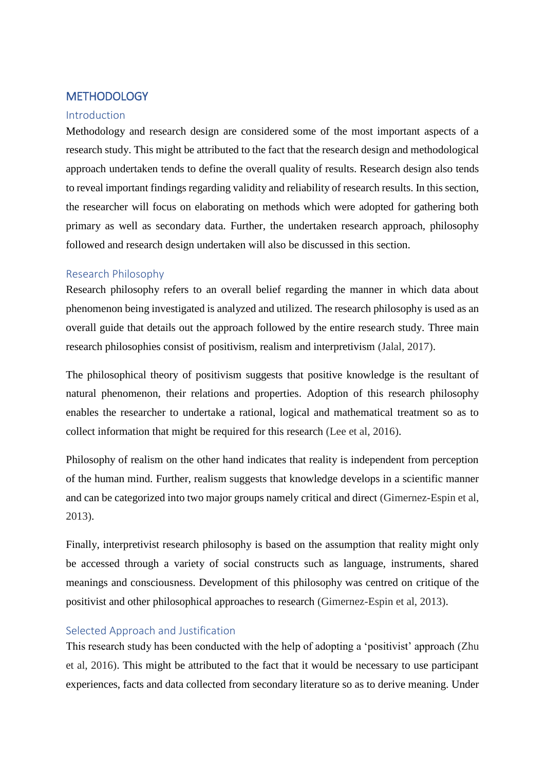# **METHODOLOGY**

#### Introduction

Methodology and research design are considered some of the most important aspects of a research study. This might be attributed to the fact that the research design and methodological approach undertaken tends to define the overall quality of results. Research design also tends to reveal important findings regarding validity and reliability of research results. In this section, the researcher will focus on elaborating on methods which were adopted for gathering both primary as well as secondary data. Further, the undertaken research approach, philosophy followed and research design undertaken will also be discussed in this section.

## Research Philosophy

Research philosophy refers to an overall belief regarding the manner in which data about phenomenon being investigated is analyzed and utilized. The research philosophy is used as an overall guide that details out the approach followed by the entire research study. Three main research philosophies consist of positivism, realism and interpretivism (Jalal, 2017).

The philosophical theory of positivism suggests that positive knowledge is the resultant of natural phenomenon, their relations and properties. Adoption of this research philosophy enables the researcher to undertake a rational, logical and mathematical treatment so as to collect information that might be required for this research (Lee et al, 2016).

Philosophy of realism on the other hand indicates that reality is independent from perception of the human mind. Further, realism suggests that knowledge develops in a scientific manner and can be categorized into two major groups namely critical and direct (Gimernez-Espin et al, 2013).

Finally, interpretivist research philosophy is based on the assumption that reality might only be accessed through a variety of social constructs such as language, instruments, shared meanings and consciousness. Development of this philosophy was centred on critique of the positivist and other philosophical approaches to research (Gimernez-Espin et al, 2013).

## Selected Approach and Justification

This research study has been conducted with the help of adopting a 'positivist' approach (Zhu et al, 2016). This might be attributed to the fact that it would be necessary to use participant experiences, facts and data collected from secondary literature so as to derive meaning. Under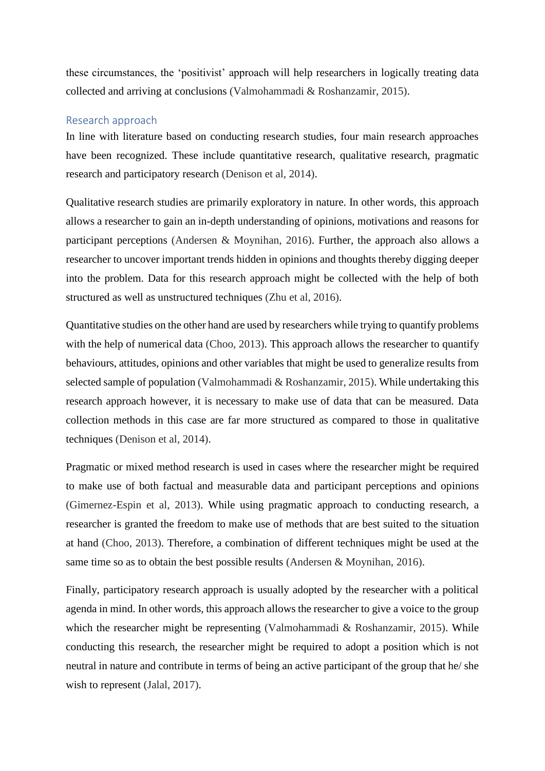these circumstances, the 'positivist' approach will help researchers in logically treating data collected and arriving at conclusions (Valmohammadi & Roshanzamir, 2015).

## Research approach

In line with literature based on conducting research studies, four main research approaches have been recognized. These include quantitative research, qualitative research, pragmatic research and participatory research (Denison et al, 2014).

Qualitative research studies are primarily exploratory in nature. In other words, this approach allows a researcher to gain an in-depth understanding of opinions, motivations and reasons for participant perceptions (Andersen & Moynihan, 2016). Further, the approach also allows a researcher to uncover important trends hidden in opinions and thoughts thereby digging deeper into the problem. Data for this research approach might be collected with the help of both structured as well as unstructured techniques (Zhu et al, 2016).

Quantitative studies on the other hand are used by researchers while trying to quantify problems with the help of numerical data (Choo, 2013). This approach allows the researcher to quantify behaviours, attitudes, opinions and other variables that might be used to generalize results from selected sample of population (Valmohammadi & Roshanzamir, 2015). While undertaking this research approach however, it is necessary to make use of data that can be measured. Data collection methods in this case are far more structured as compared to those in qualitative techniques (Denison et al, 2014).

Pragmatic or mixed method research is used in cases where the researcher might be required to make use of both factual and measurable data and participant perceptions and opinions (Gimernez-Espin et al, 2013). While using pragmatic approach to conducting research, a researcher is granted the freedom to make use of methods that are best suited to the situation at hand (Choo, 2013). Therefore, a combination of different techniques might be used at the same time so as to obtain the best possible results (Andersen & Moynihan, 2016).

Finally, participatory research approach is usually adopted by the researcher with a political agenda in mind. In other words, this approach allows the researcher to give a voice to the group which the researcher might be representing (Valmohammadi & Roshanzamir, 2015). While conducting this research, the researcher might be required to adopt a position which is not neutral in nature and contribute in terms of being an active participant of the group that he/ she wish to represent (Jalal, 2017).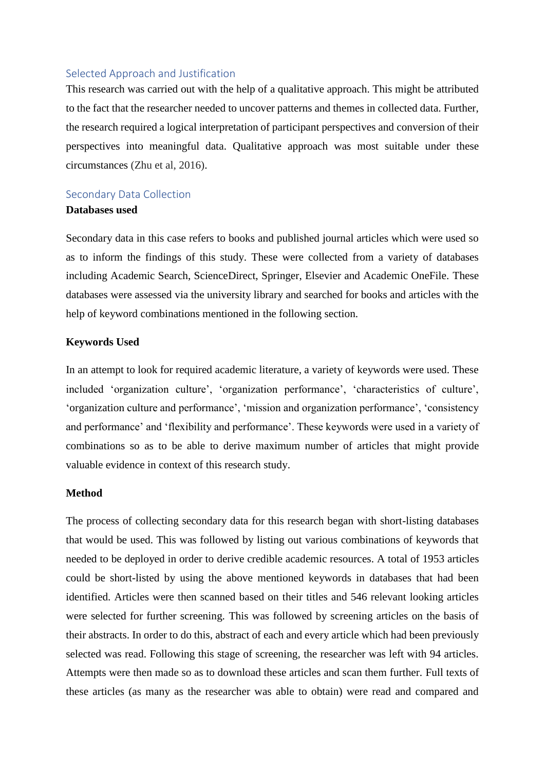#### Selected Approach and Justification

This research was carried out with the help of a qualitative approach. This might be attributed to the fact that the researcher needed to uncover patterns and themes in collected data. Further, the research required a logical interpretation of participant perspectives and conversion of their perspectives into meaningful data. Qualitative approach was most suitable under these circumstances (Zhu et al, 2016).

# Secondary Data Collection

# **Databases used**

Secondary data in this case refers to books and published journal articles which were used so as to inform the findings of this study. These were collected from a variety of databases including Academic Search, ScienceDirect, Springer, Elsevier and Academic OneFile. These databases were assessed via the university library and searched for books and articles with the help of keyword combinations mentioned in the following section.

#### **Keywords Used**

In an attempt to look for required academic literature, a variety of keywords were used. These included 'organization culture', 'organization performance', 'characteristics of culture', 'organization culture and performance', 'mission and organization performance', 'consistency and performance' and 'flexibility and performance'. These keywords were used in a variety of combinations so as to be able to derive maximum number of articles that might provide valuable evidence in context of this research study.

#### **Method**

The process of collecting secondary data for this research began with short-listing databases that would be used. This was followed by listing out various combinations of keywords that needed to be deployed in order to derive credible academic resources. A total of 1953 articles could be short-listed by using the above mentioned keywords in databases that had been identified. Articles were then scanned based on their titles and 546 relevant looking articles were selected for further screening. This was followed by screening articles on the basis of their abstracts. In order to do this, abstract of each and every article which had been previously selected was read. Following this stage of screening, the researcher was left with 94 articles. Attempts were then made so as to download these articles and scan them further. Full texts of these articles (as many as the researcher was able to obtain) were read and compared and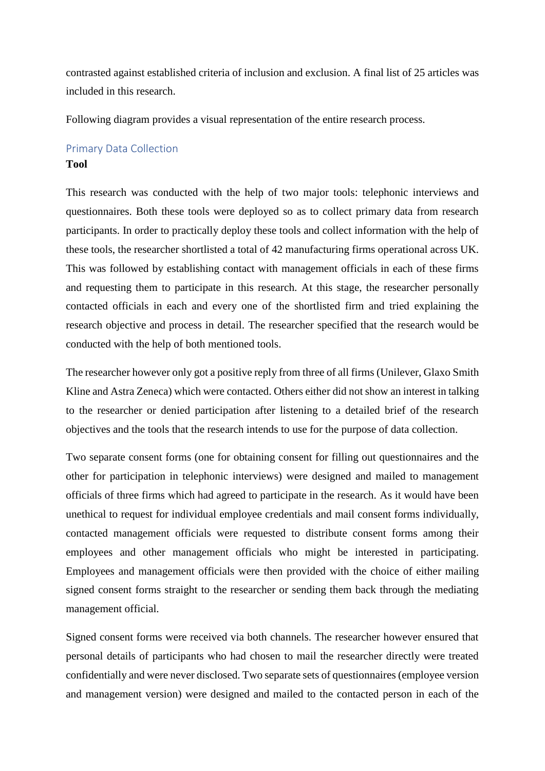contrasted against established criteria of inclusion and exclusion. A final list of 25 articles was included in this research.

Following diagram provides a visual representation of the entire research process.

# Primary Data Collection **Tool**

This research was conducted with the help of two major tools: telephonic interviews and questionnaires. Both these tools were deployed so as to collect primary data from research participants. In order to practically deploy these tools and collect information with the help of these tools, the researcher shortlisted a total of 42 manufacturing firms operational across UK. This was followed by establishing contact with management officials in each of these firms and requesting them to participate in this research. At this stage, the researcher personally contacted officials in each and every one of the shortlisted firm and tried explaining the research objective and process in detail. The researcher specified that the research would be conducted with the help of both mentioned tools.

The researcher however only got a positive reply from three of all firms (Unilever, Glaxo Smith Kline and Astra Zeneca) which were contacted. Others either did not show an interest in talking to the researcher or denied participation after listening to a detailed brief of the research objectives and the tools that the research intends to use for the purpose of data collection.

Two separate consent forms (one for obtaining consent for filling out questionnaires and the other for participation in telephonic interviews) were designed and mailed to management officials of three firms which had agreed to participate in the research. As it would have been unethical to request for individual employee credentials and mail consent forms individually, contacted management officials were requested to distribute consent forms among their employees and other management officials who might be interested in participating. Employees and management officials were then provided with the choice of either mailing signed consent forms straight to the researcher or sending them back through the mediating management official.

Signed consent forms were received via both channels. The researcher however ensured that personal details of participants who had chosen to mail the researcher directly were treated confidentially and were never disclosed. Two separate sets of questionnaires (employee version and management version) were designed and mailed to the contacted person in each of the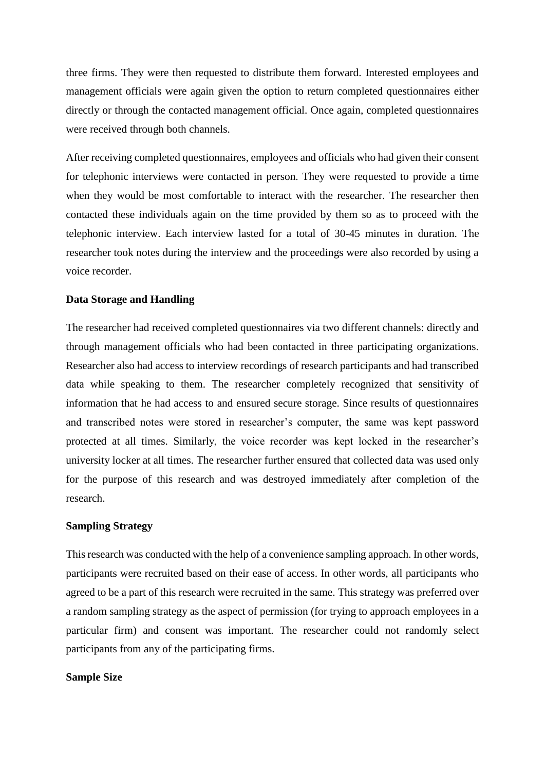three firms. They were then requested to distribute them forward. Interested employees and management officials were again given the option to return completed questionnaires either directly or through the contacted management official. Once again, completed questionnaires were received through both channels.

After receiving completed questionnaires, employees and officials who had given their consent for telephonic interviews were contacted in person. They were requested to provide a time when they would be most comfortable to interact with the researcher. The researcher then contacted these individuals again on the time provided by them so as to proceed with the telephonic interview. Each interview lasted for a total of 30-45 minutes in duration. The researcher took notes during the interview and the proceedings were also recorded by using a voice recorder.

#### **Data Storage and Handling**

The researcher had received completed questionnaires via two different channels: directly and through management officials who had been contacted in three participating organizations. Researcher also had access to interview recordings of research participants and had transcribed data while speaking to them. The researcher completely recognized that sensitivity of information that he had access to and ensured secure storage. Since results of questionnaires and transcribed notes were stored in researcher's computer, the same was kept password protected at all times. Similarly, the voice recorder was kept locked in the researcher's university locker at all times. The researcher further ensured that collected data was used only for the purpose of this research and was destroyed immediately after completion of the research.

#### **Sampling Strategy**

This research was conducted with the help of a convenience sampling approach. In other words, participants were recruited based on their ease of access. In other words, all participants who agreed to be a part of this research were recruited in the same. This strategy was preferred over a random sampling strategy as the aspect of permission (for trying to approach employees in a particular firm) and consent was important. The researcher could not randomly select participants from any of the participating firms.

#### **Sample Size**